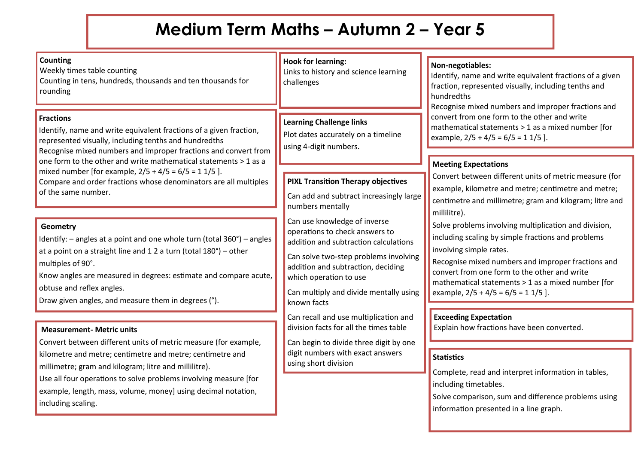## **Medium Term Maths – Autumn 2 – Year 5**

| <b>Counting</b><br>Weekly times table counting<br>Counting in tens, hundreds, thousands and ten thousands for<br>rounding                                                                                                                                                                                                                                    | <b>Hook for learning:</b><br>Links to history and science learning<br>challenges                                                                                                                                                                                          | Non-negotiables:<br>Identify, name and write equivalent fractions of a given<br>fraction, represented visually, including tenths and<br>hundredths<br>Recognise mixed numbers and improper fractions and<br>convert from one form to the other and write<br>mathematical statements > 1 as a mixed number [for<br>example, $2/5 + 4/5 = 6/5 = 11/5$ ]. |
|--------------------------------------------------------------------------------------------------------------------------------------------------------------------------------------------------------------------------------------------------------------------------------------------------------------------------------------------------------------|---------------------------------------------------------------------------------------------------------------------------------------------------------------------------------------------------------------------------------------------------------------------------|--------------------------------------------------------------------------------------------------------------------------------------------------------------------------------------------------------------------------------------------------------------------------------------------------------------------------------------------------------|
| <b>Fractions</b><br>Identify, name and write equivalent fractions of a given fraction,<br>represented visually, including tenths and hundredths<br>Recognise mixed numbers and improper fractions and convert from                                                                                                                                           | <b>Learning Challenge links</b><br>Plot dates accurately on a timeline<br>using 4-digit numbers.                                                                                                                                                                          |                                                                                                                                                                                                                                                                                                                                                        |
| one form to the other and write mathematical statements > 1 as a<br>mixed number [for example, $2/5 + 4/5 = 6/5 = 11/5$ ].                                                                                                                                                                                                                                   |                                                                                                                                                                                                                                                                           | <b>Meeting Expectations</b>                                                                                                                                                                                                                                                                                                                            |
| Compare and order fractions whose denominators are all multiples<br>of the same number.                                                                                                                                                                                                                                                                      | <b>PIXL Transition Therapy objectives</b><br>Can add and subtract increasingly large<br>numbers mentally                                                                                                                                                                  | Convert between different units of metric measure (for<br>example, kilometre and metre; centimetre and metre;<br>centimetre and millimetre; gram and kilogram; litre and<br>millilitre).                                                                                                                                                               |
| Geometry<br>Identify: $-$ angles at a point and one whole turn (total 360 $^{\circ}$ ) $-$ angles<br>at a point on a straight line and $12$ a turn (total $180^\circ$ ) – other<br>multiples of 90°.<br>Know angles are measured in degrees: estimate and compare acute,<br>obtuse and reflex angles.<br>Draw given angles, and measure them in degrees (°). | Can use knowledge of inverse<br>operations to check answers to<br>addition and subtraction calculations<br>Can solve two-step problems involving<br>addition and subtraction, deciding<br>which operation to use<br>Can multiply and divide mentally using<br>known facts | Solve problems involving multiplication and division,<br>including scaling by simple fractions and problems<br>involving simple rates.<br>Recognise mixed numbers and improper fractions and<br>convert from one form to the other and write<br>mathematical statements > 1 as a mixed number [for<br>example, $2/5 + 4/5 = 6/5 = 11/5$ ].             |
|                                                                                                                                                                                                                                                                                                                                                              | Can recall and use multiplication and                                                                                                                                                                                                                                     | <b>Exceeding Expectation</b>                                                                                                                                                                                                                                                                                                                           |
| <b>Measurement- Metric units</b><br>Convert between different units of metric measure (for example,                                                                                                                                                                                                                                                          | division facts for all the times table<br>Can begin to divide three digit by one                                                                                                                                                                                          | Explain how fractions have been converted.                                                                                                                                                                                                                                                                                                             |
| kilometre and metre; centimetre and metre; centimetre and<br>millimetre; gram and kilogram; litre and millilitre).<br>Use all four operations to solve problems involving measure [for<br>example, length, mass, volume, money] using decimal notation,<br>including scaling.                                                                                | digit numbers with exact answers<br>using short division                                                                                                                                                                                                                  | <b>Statistics</b><br>Complete, read and interpret information in tables,<br>including timetables.<br>Solve comparison, sum and difference problems using<br>information presented in a line graph.                                                                                                                                                     |